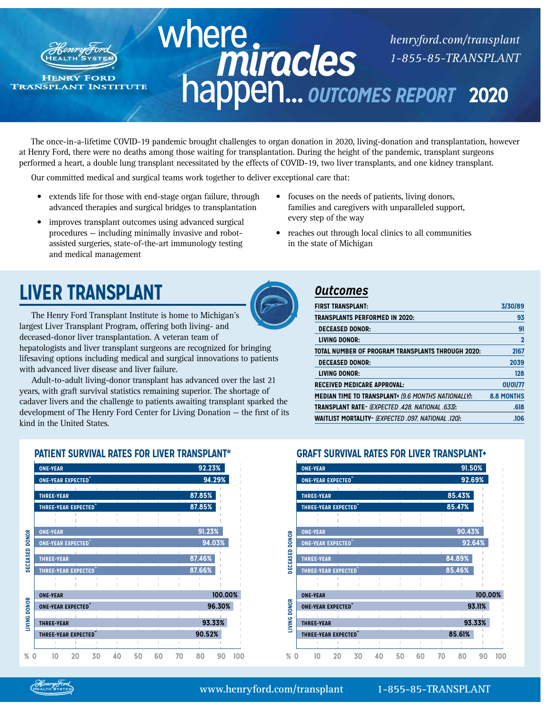

**HENRY FORD TRANSPLANT INSTITUTE** 

## *[henryford.com/transplant](https://www.henryford.com/services/transplant) 1-855-85-TRANSPLANT* where **happen...** outcomes REPORT 2020

The once-in-a-lifetime COVID-19 pandemic brought challenges to organ donation in 2020, living-donation and transplantation, however at Henry Ford, there were no deaths among those waiting for transplantation. During the height of the pandemic, transplant surgeons performed a heart, a double lung transplant necessitated by the effects of COVID-19, two liver transplants, and one kidney transplant.

Our committed medical and surgical teams work together to deliver exceptional care that:

- extends life for those with end-stage organ failure, through advanced therapies and surgical bridges to transplantation
- improves transplant outcomes using advanced surgical procedures — including minimally invasive and robotassisted surgeries, state-of-the-art immunology testing and medical management
- focuses on the needs of patients, living donors, families and caregivers with unparalleled support, every step of the way
- reaches out through local clinics to all communities in the state of Michigan

# **LIVER TRANSPLANT**



The Henry Ford Transplant Institute is home to Michigan's largest Liver Transplant Program, offering both living- and deceased-donor liver transplantation. A veteran team of hepatologists and liver transplant surgeons are recognized for bringing lifesaving options including medical and surgical innovations to patients with advanced liver disease and liver failure.

Adult-to-adult living-donor transplant has advanced over the last 21 years, with graft survival statistics remaining superior. The shortage of cadaver livers and the challenge to patients awaiting transplant sparked the development of The Henry Ford Center for Living Donation — the first of its kind in the United States.

### *Outcomes*

| <b>FIRST TRANSPLANT:</b>                                      | 3/30/89           |
|---------------------------------------------------------------|-------------------|
| <b>TRANSPLANTS PERFORMED IN 2020:</b>                         | 93                |
| <b>DECEASED DONOR:</b>                                        | 91                |
| LIVING DONOR:                                                 | $\mathbf{2}$      |
| TOTAL NUMBER OF PROGRAM TRANSPLANTS THROUGH 2020:             | 2167              |
| <b>DECEASED DONOR:</b>                                        | 2039              |
| LIVING DONOR:                                                 | 128               |
| <b>RECEIVED MEDICARE APPROVAL:</b>                            | 01/01/77          |
| <b>MEDIAN TIME TO TRANSPLANT&lt; (9.6 MONTHS NATIONALLY):</b> | <b>8.8 MONTHS</b> |
| TRANSPLANT RATE~ (EXPECTED .428. NATIONAL .633):              | .618              |
| WAITLIST MORTALITY~ (EXPECTED .097. NATIONAL .120):           | .106              |
|                                                               |                   |



#### **PATIENT SURVIVAL RATES FOR LIVER TRANSPLANT\* GRAFT SURVIVAL RATES FOR LIVER TRANSPLANT+**



**[www.henryford.com/transplant](https://www.henryford.com/services/transplant) 1-855-85-TRANSPLANT [www.henryford.com/transplant](https://www.henryford.com/services/transplant) 1-855-85-TRANSPLANT**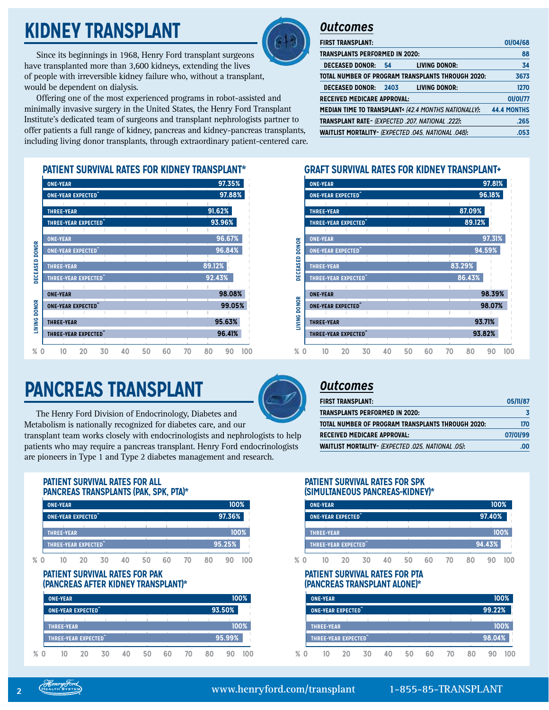## **KIDNEY TRANSPLANT**



Since its beginnings in 1968, Henry Ford transplant surgeons have transplanted more than 3,600 kidneys, extending the lives of people with irreversible kidney failure who, without a transplant, would be dependent on dialysis.

Offering one of the most experienced programs in robot-assisted and minimally invasive surgery in the United States, the Henry Ford Transplant Institute's dedicated team of surgeons and transplant nephrologists partner to offer patients a full range of kidney, pancreas and kidney-pancreas transplants, including living donor transplants, through extraordinary patient-centered care.

### *Outcomes*

| <b>FIRST TRANSPLANT:</b>                             | 01/04/68           |
|------------------------------------------------------|--------------------|
| <b>TRANSPLANTS PERFORMED IN 2020:</b>                | 88                 |
| <b>DECEASED DONOR: 54</b><br>LIVING DONOR:           | 34                 |
| TOTAL NUMBER OF PROGRAM TRANSPLANTS THROUGH 2020:    | 3673               |
| 2403<br>LIVING DONOR:<br><b>DECEASED DONOR:</b>      | 1270               |
| <b>RECEIVED MEDICARE APPROVAL:</b>                   | 01/01/77           |
| MEDIAN TIME TO TRANSPLANT< (42.4 MONTHS NATIONALLY): | <b>44.4 MONTHS</b> |
| TRANSPLANT RATE~ (EXPECTED .207. NATIONAL .222):     | .265               |
| WAITLIST MORTALITY~ (EXPECTED .045, NATIONAL .048):  | .053               |

### **PATIENT SURVIVAL RATES FOR KIDNEY TRANSPLANT\* GRAFT SURVIVAL RATES FOR KIDNEY TRANSPLANT+**

|               | <b>ONE-YEAR</b>                        | 97.35%                  | <b>ONE-YEAR</b>                  | 97.81%                |
|---------------|----------------------------------------|-------------------------|----------------------------------|-----------------------|
|               | <b>ONE-YEAR EXPECTED</b>               | 97.88%                  | <b>ONE-YEAR EXPECTED</b>         | 96.18%                |
|               | <b>THREE-YEAR</b>                      | 91.62%                  | <b>THREE-YEAR</b>                | 87.09%                |
|               | THREE-YEAR EXPECTED                    | 93.96%                  | THREE-YEAR EXPECTED              | 89.12%                |
|               | <b>ONE-YEAR</b>                        | 96.67%                  | <b>ONE-YEAR</b>                  | 97.31%                |
| <b>DONOR</b>  | <b>ONE-YEAR EXPECTED</b>               | <b>DONOR</b><br>96.84%  | <b>ONE-YEAR EXPECTED</b>         | 94.59%                |
|               | <b>THREE-YEAR</b>                      | DECEASED<br>89.12%      | <b>THREE-YEAR</b>                | 83.29%                |
| DECEASED      | <b>THREE-YEAR EXPECTED</b>             | 92.43%                  | <b>THREE-YEAR EXPECTED</b>       | 86.43%                |
|               | <b>ONE-YEAR</b>                        | 98.08%                  | <b>ONE-YEAR</b>                  | 98.39%                |
| <b>DONOR</b>  | <b>ONE-YEAR EXPECTED</b>               | <b>DONOR</b><br>99.05%  | <b>ONE-YEAR EXPECTED</b>         | 98.07%                |
| <b>LIVING</b> | <b>THREE-YEAR</b>                      | <b>LIVING</b><br>95.63% | <b>THREE-YEAR</b>                | 93.71%                |
|               | THREE-YEAR EXPECTED                    | 96.41%                  | THREE-YEAR EXPECTED              | 93.82%                |
| %0            | 30<br>70<br>20<br>50<br>60<br>10<br>40 | 80<br>100<br>% 0<br>90  | 30<br>50<br>10<br>20<br>60<br>40 | 70<br>80<br>100<br>90 |

## **PANCREAS TRANSPLANT**



The Henry Ford Division of Endocrinology, Diabetes and Metabolism is nationally recognized for diabetes care, and our transplant team works closely with endocrinologists and nephrologists to help patients who may require a pancreas transplant. Henry Ford endocrinologists are pioneers in Type 1 and Type 2 diabetes management and research.

|          | <b>ONE-YEAR</b>                  |    |    |    |    |    |    |        | 97.81% |     |
|----------|----------------------------------|----|----|----|----|----|----|--------|--------|-----|
|          | <b>ONE-YEAR EXPECTED</b>         |    |    |    |    |    |    |        | 96.18% |     |
|          | <b>THREE-YEAR</b>                |    |    |    |    |    |    | 87.09% |        |     |
|          | THREE-YEAR EXPECTED              |    |    |    |    |    |    | 89.12% |        |     |
|          |                                  |    |    |    |    |    |    |        |        |     |
|          | <b>ONE-YEAR</b>                  |    |    |    |    |    |    |        | 97.31% |     |
|          | <b>ONE-YEAR EXPECTED</b>         |    |    |    |    |    |    |        | 94.59% |     |
|          |                                  |    |    |    |    |    |    |        |        |     |
|          | <b>THREE-YEAR</b>                |    |    |    |    |    |    | 83.29% |        |     |
|          | <b>THREE-YEAR EXPECTED</b>       |    |    |    |    |    |    | 86.43% |        |     |
|          |                                  |    |    |    |    |    |    |        |        |     |
|          | <b>ONE-YEAR</b>                  |    |    |    |    |    |    |        | 98.39% |     |
|          | <b>ONE-VEAR EXPECTED</b>         |    |    |    |    |    |    |        | 98.07% |     |
|          |                                  |    |    |    |    |    |    |        |        |     |
|          | <b>THREE-YEAR</b>                |    |    |    |    |    |    |        | 93.71% |     |
|          | THREE-YEAR EXPECTED <sup>®</sup> |    |    |    |    |    |    |        | 93.82% |     |
|          |                                  |    |    |    |    |    |    |        |        |     |
| $\Omega$ | 10                               | 20 | 30 | 40 | 50 | 60 | 70 | 80     | 90     | 100 |

### *Outcomes*

| <b>FIRST TRANSPLANT:</b>                           | 05/11/87 |
|----------------------------------------------------|----------|
| <b>TRANSPLANTS PERFORMED IN 2020:</b>              |          |
| TOTAL NUMBER OF PROGRAM TRANSPLANTS THROUGH 2020:  | 170      |
| <b>RECEIVED MEDICARE APPROVAL:</b>                 | 07/01/99 |
| WAITLIST MORTALITY~ (EXPECTED .025. NATIONAL .05): | .00      |

### **PATIENT SURVIVAL RATES FOR ALL PANCREAS TRANSPLANTS (PAK, SPK, PTA)\***

| <b>ONE-YEAR</b>          |  |  |  | 100%   |      |
|--------------------------|--|--|--|--------|------|
| <b>ONE-YEAR EXPECTED</b> |  |  |  | 97.36% |      |
|                          |  |  |  |        |      |
| <b>THREE-YEAR</b>        |  |  |  |        | 100% |
| THREE-YEAR EXPECTED      |  |  |  | 95.25% |      |
|                          |  |  |  |        |      |

#### **PATIENT SURVIVAL RATES FOR PAK (PANCREAS AFTER KIDNEY TRANSPLANT)\***

|  | <b>ONE-YEAR</b>   |                          |  |  |  |        | 100% |
|--|-------------------|--------------------------|--|--|--|--------|------|
|  |                   | <b>ONE-YEAR EXPECTED</b> |  |  |  | 93.50% |      |
|  |                   |                          |  |  |  |        |      |
|  | <b>THREE-YEAR</b> |                          |  |  |  |        | 100% |
|  |                   | THREE-YEAR EXPECTED      |  |  |  | 95.99% |      |
|  |                   |                          |  |  |  |        |      |
|  |                   |                          |  |  |  |        |      |

### **PATIENT SURVIVAL RATES FOR SPK (SIMULTANEOUS PANCREAS-KIDNEY)\***

|    | <b>ONE-YEAR</b>            |    |    |    |    |    |    |        | 100% | 100%     |          |                 |
|----|----------------------------|----|----|----|----|----|----|--------|------|----------|----------|-----------------|
|    | ONE-YEAR EXPECTED          |    |    |    |    |    |    | 97.36% |      | 97.40%   |          |                 |
|    | <b>THREE-YEAR</b>          |    |    |    |    |    |    |        | 100% | 100%     |          |                 |
|    | <b>THREE-YEAR EXPECTED</b> |    |    |    |    |    |    | 95.259 |      | 94 43%   |          |                 |
| %0 | 10                         | ₹Λ | 40 | БΓ | 60 | 70 | 80 | 90     | 100  | 80<br>۹r | 70<br>hГ | 10 <sub>c</sub> |

#### **PATIENT SURVIVAL RATES FOR PTA (PANCREAS TRANSPLANT ALONE)\***

|    | <b>ONE-YEAR</b>            |    |    |    |    |    |    |        | 100% |  | <b>ONE-YEAR</b>            |    |    |    |    |    |    |    |        | 100% |
|----|----------------------------|----|----|----|----|----|----|--------|------|--|----------------------------|----|----|----|----|----|----|----|--------|------|
|    | ONE-YEAR EXPECTED          |    |    |    |    |    |    | 93.50% |      |  | <b>ONE-YEAR EXPECTED</b>   |    |    |    |    |    |    |    | 99.22% |      |
|    | <b>THREE-YEAR</b>          |    |    |    |    |    |    |        | 100% |  | <b>THREE-YEAR</b>          |    |    |    |    |    |    |    |        | 100% |
|    | <b>THREE-YEAR EXPECTED</b> |    |    |    |    |    |    | 95.99% |      |  | <b>THREE-YEAR EXPECTED</b> |    |    |    |    |    |    |    | 98.    |      |
| %0 | 10                         | ₹Λ | 40 | БΓ | 60 | 70 | 80 | 90     | 100  |  | ıс                         | 20 | ₹Λ | ÆО | 50 | 60 | 70 | 80 |        | 100  |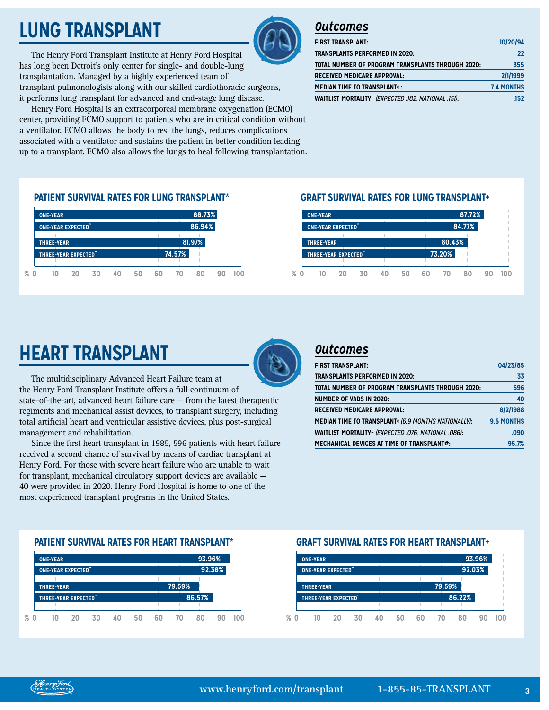## **LUNG TRANSPLANT**



The Henry Ford Transplant Institute at Henry Ford Hospital has long been Detroit's only center for single- and double-lung transplantation. Managed by a highly experienced team of transplant pulmonologists along with our skilled cardiothoracic surgeons, it performs lung transplant for advanced and end-stage lung disease.

Henry Ford Hospital is an extracorporeal membrane oxygenation (ECMO) center, providing ECMO support to patients who are in critical condition without a ventilator. ECMO allows the body to rest the lungs, reduces complications associated with a ventilator and sustains the patient in better condition leading up to a transplant. ECMO also allows the lungs to heal following transplantation.

### *Outcomes*

| <b>FIRST TRANSPLANT:</b>                            | 10/20/94          |
|-----------------------------------------------------|-------------------|
| TRANSPLANTS PERFORMED IN 2020:                      | 22                |
| TOTAL NUMBER OF PROGRAM TRANSPLANTS THROUGH 2020:   | 355               |
| RECEIVED MEDICARE APPROVAL:                         | 2/1/1999          |
| <b>MEDIAN TIME TO TRANSPLANT&lt;:</b>               | <b>7.4 MONTHS</b> |
| WAITLIST MORTALITY~ (EXPECTED .182. NATIONAL .151): | .152              |

### **PATIENT SURVIVAL RATES FOR LUNG TRANSPLANT\* GRAFT SURVIVAL RATES FOR LUNG TRANSPLANT+**

|       | <b>ONE-YEAR</b>            |    |    |    |    |    |        | 88.73% |    |     |     | <b>ONE-YEAR</b>          |    |    |    |    |        | 87.72% |    |     |
|-------|----------------------------|----|----|----|----|----|--------|--------|----|-----|-----|--------------------------|----|----|----|----|--------|--------|----|-----|
|       | <b>ONE-YEAR EXPECTED</b>   |    |    |    |    |    |        | 86.94% |    |     |     | <b>ONE-YEAR EXPECTED</b> |    |    |    |    |        | 84.77% |    |     |
|       |                            |    |    |    |    |    |        |        |    |     |     |                          |    |    |    |    |        |        |    |     |
|       | <b>THREE-YEAR</b>          |    |    |    |    |    |        | 81.97% |    |     |     | <b>THREE-YEAR</b>        |    |    |    |    | 80.43% |        |    |     |
|       | <b>THREE-YEAR EXPECTED</b> |    |    |    |    |    | 74.57% |        |    |     |     | THREE-YEAR EXPECTED      |    |    |    |    | 73.20% |        |    |     |
|       |                            |    |    |    |    |    |        |        |    |     |     |                          |    |    |    |    |        |        |    |     |
| $%$ 0 | 10                         | 20 | ₹Π | 40 | 50 | 60 | 70     | 80     | 90 | 100 | % ( |                          | 30 | Дſ | 50 | 60 | 70     | 80     | ۹Λ | 100 |

|   | <b>ONE-YEAR</b>   |                                 |  |  |        | 87.72% |  |
|---|-------------------|---------------------------------|--|--|--------|--------|--|
|   |                   | ONE-YEAR EXPECTED <sup>^1</sup> |  |  |        | 84.77% |  |
|   | <b>THREE-YEAR</b> |                                 |  |  | 80.43% |        |  |
|   |                   | <b>THREE-YEAR EXPECTED</b>      |  |  | 73.20% |        |  |
| ℅ |                   |                                 |  |  |        |        |  |

### **HEART TRANSPLANT**



The multidisciplinary Advanced Heart Failure team at the Henry Ford Transplant Institute offers a full continuum of state-of-the-art, advanced heart failure care — from the latest therapeutic regiments and mechanical assist devices, to transplant surgery, including total artificial heart and ventricular assistive devices, plus post-surgical management and rehabilitation.

Since the first heart transplant in 1985, 596 patients with heart failure received a second chance of survival by means of cardiac transplant at Henry Ford. For those with severe heart failure who are unable to wait for transplant, mechanical circulatory support devices are available — 40 were provided in 2020. Henry Ford Hospital is home to one of the most experienced transplant programs in the United States.

### *Outcomes*

| <b>FIRST TRANSPLANT:</b>                                      | 04/23/85          |
|---------------------------------------------------------------|-------------------|
| <b>TRANSPLANTS PERFORMED IN 2020:</b>                         | 33                |
| TOTAL NUMBER OF PROGRAM TRANSPLANTS THROUGH 2020:             | 596               |
| <b>NUMBER OF VADS IN 2020:</b>                                | 40                |
| <b>RECEIVED MEDICARE APPROVAL:</b>                            | 8/2/1988          |
| <b>MEDIAN TIME TO TRANSPLANT&lt; (6.9 MONTHS NATIONALLY):</b> | <b>9.5 MONTHS</b> |
| WAITLIST MORTALITY~ (EXPECTED .076, NATIONAL .086):           | .090              |
| <b>MECHANICAL DEVICES AT TIME OF TRANSPLANT#:</b>             | 95.7%             |

### **PATIENT SURVIVAL RATES FOR HEART TRANSPLANT\* GRAFT SURVIVAL RATES FOR HEART TRANSPLANT+**

| <b>ONE-YEAR</b>                  |  |  | 93.96% |  |  |        |  |  |  |  |  |  |
|----------------------------------|--|--|--------|--|--|--------|--|--|--|--|--|--|
| ONE-YEAR EXPECTED                |  |  |        |  |  | 92.38% |  |  |  |  |  |  |
|                                  |  |  |        |  |  |        |  |  |  |  |  |  |
| <b>THREE-YEAR</b>                |  |  | 79.59% |  |  |        |  |  |  |  |  |  |
| THREE-YEAR EXPECTED <sup>®</sup> |  |  |        |  |  |        |  |  |  |  |  |  |
|                                  |  |  |        |  |  |        |  |  |  |  |  |  |
|                                  |  |  |        |  |  |        |  |  |  |  |  |  |